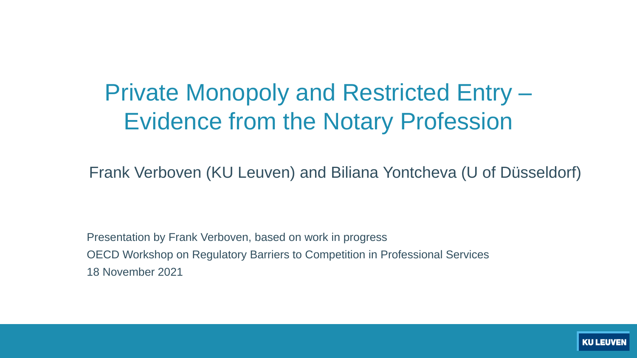### Private Monopoly and Restricted Entry – Evidence from the Notary Profession

Frank Verboven (KU Leuven) and Biliana Yontcheva (U of Düsseldorf)

Presentation by Frank Verboven, based on work in progress OECD Workshop on Regulatory Barriers to Competition in Professional Services 18 November 2021

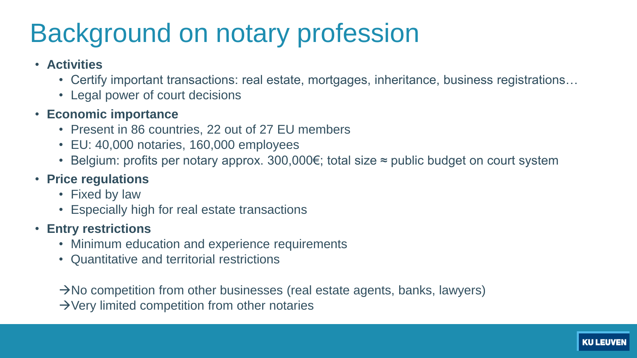### Background on notary profession

- **Activities**
	- Certify important transactions: real estate, mortgages, inheritance, business registrations...
	- Legal power of court decisions
- **Economic importance**
	- Present in 86 countries, 22 out of 27 EU members
	- EU: 40,000 notaries, 160,000 employees
	- Belgium: profits per notary approx. 300,000€; total size ≈ public budget on court system
- **Price regulations**
	- Fixed by law
	- Especially high for real estate transactions
- **Entry restrictions**
	- Minimum education and experience requirements
	- Quantitative and territorial restrictions

 $\rightarrow$ No competition from other businesses (real estate agents, banks, lawyers)  $\rightarrow$  Very limited competition from other notaries

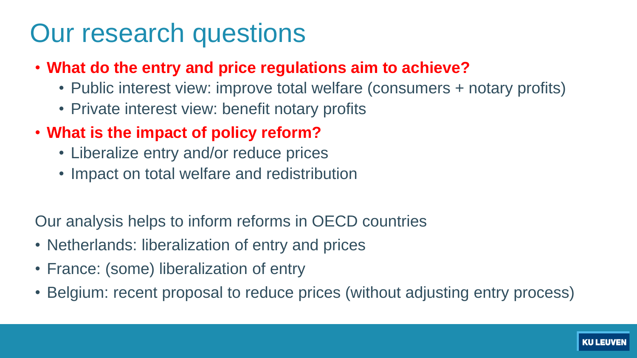### Our research questions

- **What do the entry and price regulations aim to achieve?**
	- Public interest view: improve total welfare (consumers + notary profits)
	- Private interest view: benefit notary profits
- **What is the impact of policy reform?**
	- Liberalize entry and/or reduce prices
	- Impact on total welfare and redistribution

Our analysis helps to inform reforms in OECD countries

- Netherlands: liberalization of entry and prices
- France: (some) liberalization of entry
- Belgium: recent proposal to reduce prices (without adjusting entry process)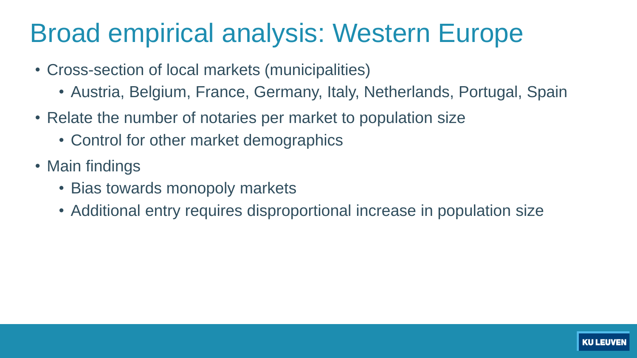### Broad empirical analysis: Western Europe

- Cross-section of local markets (municipalities)
	- Austria, Belgium, France, Germany, Italy, Netherlands, Portugal, Spain
- Relate the number of notaries per market to population size
	- Control for other market demographics
- Main findings
	- Bias towards monopoly markets
	- Additional entry requires disproportional increase in population size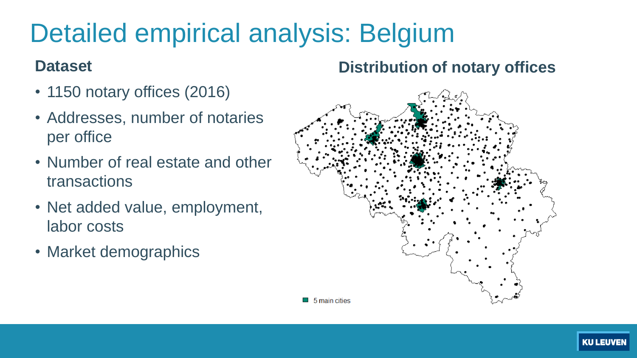## Detailed empirical analysis: Belgium

#### **Dataset**

- 1150 notary offices (2016)
- Addresses, number of notaries per office
- Number of real estate and other transactions
- Net added value, employment, labor costs
- Market demographics

#### **Distribution of notary offices**



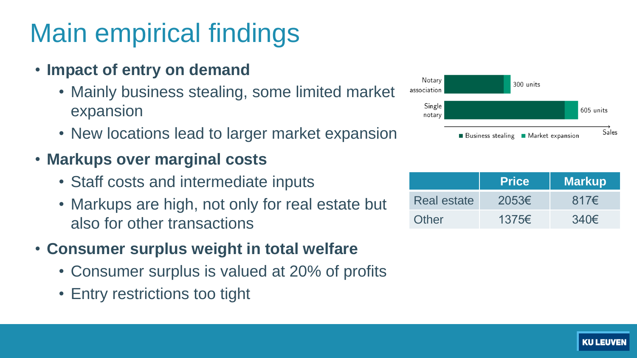## Main empirical findings

- **Impact of entry on demand**
	- Mainly business stealing, some limited market expansion
	- New locations lead to larger market expansion
- **Markups over marginal costs**
	- Staff costs and intermediate inputs
	- Markups are high, not only for real estate but also for other transactions
- **Consumer surplus weight in total welfare**
	- Consumer surplus is valued at 20% of profits
	- Entry restrictions too tight



|             | <b>Price</b>    | <b>Markup</b> |
|-------------|-----------------|---------------|
| Real estate | $2053 \epsilon$ | $817\epsilon$ |
| Other       | 1375€           | $340\epsilon$ |

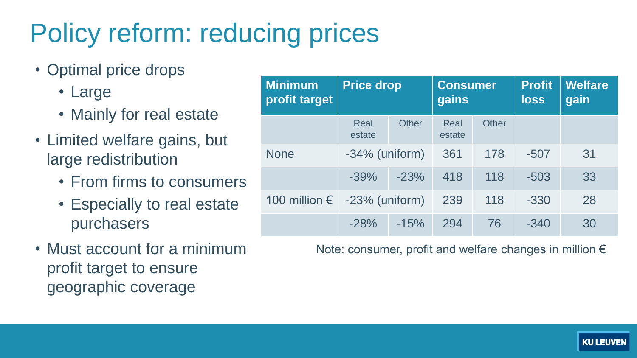# Policy reform: reducing prices

- Optimal price drops
	- Large
	- Mainly for real estate
- Limited welfare gains, but large redistribution
	- From firms to consumers
	- Especially to real estate purchasers
- Must account for a minimum profit target to ensure geographic coverage

| <b>Minimum</b><br>profit target | <b>Price drop</b>     |        | <b>Consumer</b><br>gains |       | <b>Profit</b><br>loss | <b>Welfare</b><br>gain |
|---------------------------------|-----------------------|--------|--------------------------|-------|-----------------------|------------------------|
|                                 | <b>Real</b><br>estate | Other  | <b>Real</b><br>estate    | Other |                       |                        |
| <b>None</b>                     | $-34\%$ (uniform)     |        | 361                      | 178   | $-507$                | 31                     |
|                                 | $-39%$                | $-23%$ | 418                      | 118   | $-503$                | 33                     |
| 100 million $\epsilon$          | $-23%$ (uniform)      |        | 239                      | 118   | $-330$                | 28                     |
|                                 | $-28%$                | $-15%$ | 294                      | 76    | $-340$                | 30                     |

Note: consumer, profit and welfare changes in million €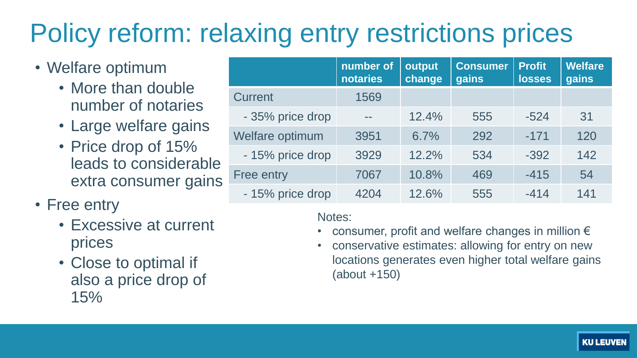## Policy reform: relaxing entry restrictions prices

- Welfare optimum
	- More than double number of notaries
	- Large welfare gains
	- Price drop of 15% leads to considerable extra consumer gains
- Free entry
	- Excessive at current prices
	- Close to optimal if also a price drop of 15%

|                   | number of<br>notaries | output<br>change | <b>Consumer</b><br>gains | <b>Profit</b><br>losses | <b>Welfare</b><br>gains |
|-------------------|-----------------------|------------------|--------------------------|-------------------------|-------------------------|
| <b>Current</b>    | 1569                  |                  |                          |                         |                         |
| - 35% price drop  |                       | 12.4%            | 555                      | $-524$                  | 31                      |
| Welfare optimum   | 3951                  | 6.7%             | 292                      | $-171$                  | 120                     |
| - 15% price drop  | 3929                  | 12.2%            | 534                      | $-392$                  | 142                     |
| <b>Free entry</b> | 7067                  | 10.8%            | 469                      | $-415$                  | 54                      |
| - 15% price drop  | 4204                  | 12.6%            | 555                      | $-414$                  | 141                     |

Notes:

- consumer, profit and welfare changes in million  $\epsilon$
- conservative estimates: allowing for entry on new locations generates even higher total welfare gains (about +150)